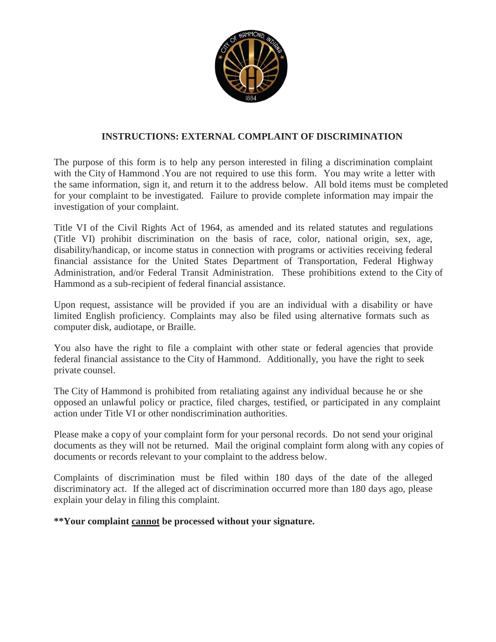

## **INSTRUCTIONS: EXTERNAL COMPLAINT OF DISCRIMINATION**

The purpose of this form is to help any person interested in filing a discrimination complaint with the City of Hammond .You are not required to use this form. You may write a letter with the same information, sign it, and return it to the address below. All bold items must be completed for your complaint to be investigated. Failure to provide complete information may impair the investigation of your complaint.

Title VI of the Civil Rights Act of 1964, as amended and its related statutes and regulations (Title VI) prohibit discrimination on the basis of race, color, national origin, sex, age, disability/handicap, or income status in connection with programs or activities receiving federal financial assistance for the United States Department of Transportation, Federal Highway Administration, and/or Federal Transit Administration. These prohibitions extend to the City of Hammond as a sub-recipient of federal financial assistance.

Upon request, assistance will be provided if you are an individual with a disability or have limited English proficiency. Complaints may also be filed using alternative formats such as computer disk, audiotape, or Braille.

You also have the right to file a complaint with other state or federal agencies that provide federal financial assistance to the City of Hammond. Additionally, you have the right to seek private counsel.

The City of Hammond is prohibited from retaliating against any individual because he or she opposed an unlawful policy or practice, filed charges, testified, or participated in any complaint action under Title VI or other nondiscrimination authorities.

Please make a copy of your complaint form for your personal records. Do not send your original documents as they will not be returned. Mail the original complaint form along with any copies of documents or records relevant to your complaint to the address below.

Complaints of discrimination must be filed within 180 days of the date of the alleged discriminatory act. If the alleged act of discrimination occurred more than 180 days ago, please explain your delay in filing this complaint.

## **\*\*Your complaint cannot be processed without your signature.**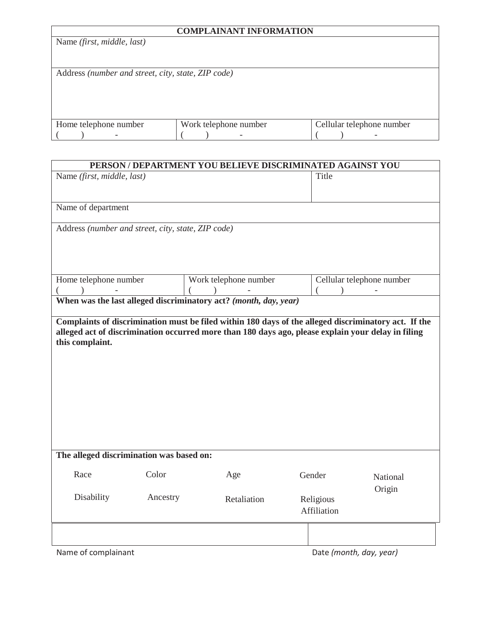| <b>COMPLAINANT INFORMATION</b>                     |                       |                           |  |
|----------------------------------------------------|-----------------------|---------------------------|--|
| Name (first, middle, last)                         |                       |                           |  |
|                                                    |                       |                           |  |
|                                                    |                       |                           |  |
| Address (number and street, city, state, ZIP code) |                       |                           |  |
|                                                    |                       |                           |  |
|                                                    |                       |                           |  |
|                                                    |                       |                           |  |
|                                                    |                       |                           |  |
| Home telephone number                              | Work telephone number | Cellular telephone number |  |
|                                                    |                       |                           |  |

| PERSON / DEPARTMENT YOU BELIEVE DISCRIMINATED AGAINST YOU |          |                                                                                                      |                         |                           |
|-----------------------------------------------------------|----------|------------------------------------------------------------------------------------------------------|-------------------------|---------------------------|
| Name (first, middle, last)                                |          |                                                                                                      | Title                   |                           |
|                                                           |          |                                                                                                      |                         |                           |
| Name of department                                        |          |                                                                                                      |                         |                           |
| Address (number and street, city, state, ZIP code)        |          |                                                                                                      |                         |                           |
|                                                           |          |                                                                                                      |                         |                           |
|                                                           |          |                                                                                                      |                         |                           |
| Home telephone number                                     |          | Work telephone number                                                                                |                         | Cellular telephone number |
|                                                           |          | $\rightarrow$                                                                                        |                         |                           |
|                                                           |          | When was the last alleged discriminatory act? (month, day, year)                                     |                         |                           |
|                                                           |          |                                                                                                      |                         |                           |
|                                                           |          | Complaints of discrimination must be filed within 180 days of the alleged discriminatory act. If the |                         |                           |
|                                                           |          | alleged act of discrimination occurred more than 180 days ago, please explain your delay in filing   |                         |                           |
| this complaint.                                           |          |                                                                                                      |                         |                           |
|                                                           |          |                                                                                                      |                         |                           |
|                                                           |          |                                                                                                      |                         |                           |
|                                                           |          |                                                                                                      |                         |                           |
|                                                           |          |                                                                                                      |                         |                           |
|                                                           |          |                                                                                                      |                         |                           |
|                                                           |          |                                                                                                      |                         |                           |
|                                                           |          |                                                                                                      |                         |                           |
|                                                           |          |                                                                                                      |                         |                           |
|                                                           |          |                                                                                                      |                         |                           |
|                                                           |          |                                                                                                      |                         |                           |
| The alleged discrimination was based on:                  |          |                                                                                                      |                         |                           |
| Race                                                      | Color    | Age                                                                                                  | Gender                  | National                  |
|                                                           |          |                                                                                                      |                         | Origin                    |
| Disability                                                | Ancestry | Retaliation                                                                                          | Religious               |                           |
|                                                           |          |                                                                                                      | Affiliation             |                           |
|                                                           |          |                                                                                                      |                         |                           |
|                                                           |          |                                                                                                      |                         |                           |
|                                                           |          |                                                                                                      |                         |                           |
| Name of complainant                                       |          |                                                                                                      | Date (month, day, year) |                           |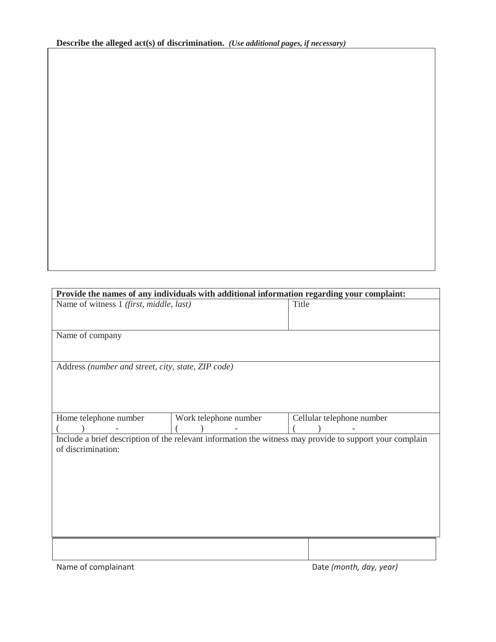| Provide the names of any individuals with additional information regarding your complaint:               |                                                    |                           |  |  |
|----------------------------------------------------------------------------------------------------------|----------------------------------------------------|---------------------------|--|--|
| Name of witness 1 (first, middle, last)                                                                  |                                                    | Title                     |  |  |
|                                                                                                          |                                                    |                           |  |  |
| Name of company                                                                                          |                                                    |                           |  |  |
|                                                                                                          |                                                    |                           |  |  |
|                                                                                                          | Address (number and street, city, state, ZIP code) |                           |  |  |
|                                                                                                          |                                                    |                           |  |  |
|                                                                                                          |                                                    |                           |  |  |
| Home telephone number                                                                                    | Work telephone number                              | Cellular telephone number |  |  |
|                                                                                                          |                                                    |                           |  |  |
| Include a brief description of the relevant information the witness may provide to support your complain |                                                    |                           |  |  |
| of discrimination:                                                                                       |                                                    |                           |  |  |
|                                                                                                          |                                                    |                           |  |  |
|                                                                                                          |                                                    |                           |  |  |
|                                                                                                          |                                                    |                           |  |  |
|                                                                                                          |                                                    |                           |  |  |
|                                                                                                          |                                                    |                           |  |  |
|                                                                                                          |                                                    |                           |  |  |
|                                                                                                          |                                                    |                           |  |  |
| Name of complainant                                                                                      |                                                    | Date (month, day, year)   |  |  |